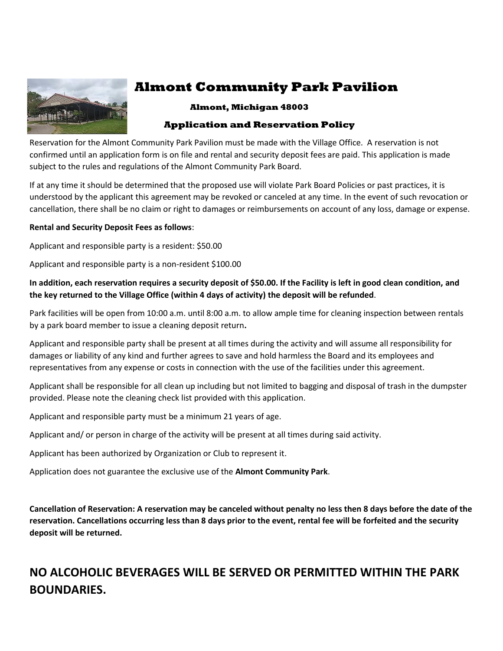

# **Almont Community Park Pavilion**

#### **Almont, Michigan 48003**

### **Application and Reservation Policy**

Reservation for the Almont Community Park Pavilion must be made with the Village Office. A reservation is not confirmed until an application form is on file and rental and security deposit fees are paid. This application is made subject to the rules and regulations of the Almont Community Park Board.

If at any time it should be determined that the proposed use will violate Park Board Policies or past practices, it is understood by the applicant this agreement may be revoked or canceled at any time. In the event of such revocation or cancellation, there shall be no claim or right to damages or reimbursements on account of any loss, damage or expense.

#### **Rental and Security Deposit Fees as follows**:

Applicant and responsible party is a resident: \$50.00

Applicant and responsible party is a non-resident \$100.00

#### **In addition, each reservation requires a security deposit of \$50.00. If the Facility is left in good clean condition, and the key returned to the Village Office (within 4 days of activity) the deposit will be refunded**.

Park facilities will be open from 10:00 a.m. until 8:00 a.m. to allow ample time for cleaning inspection between rentals by a park board member to issue a cleaning deposit return**.**

Applicant and responsible party shall be present at all times during the activity and will assume all responsibility for damages or liability of any kind and further agrees to save and hold harmless the Board and its employees and representatives from any expense or costs in connection with the use of the facilities under this agreement.

Applicant shall be responsible for all clean up including but not limited to bagging and disposal of trash in the dumpster provided. Please note the cleaning check list provided with this application.

Applicant and responsible party must be a minimum 21 years of age.

Applicant and/ or person in charge of the activity will be present at all times during said activity.

Applicant has been authorized by Organization or Club to represent it.

Application does not guarantee the exclusive use of the **Almont Community Park**.

**Cancellation of Reservation: A reservation may be canceled without penalty no less then 8 days before the date of the reservation. Cancellations occurring less than 8 days prior to the event, rental fee will be forfeited and the security deposit will be returned.**

## **NO ALCOHOLIC BEVERAGES WILL BE SERVED OR PERMITTED WITHIN THE PARK BOUNDARIES.**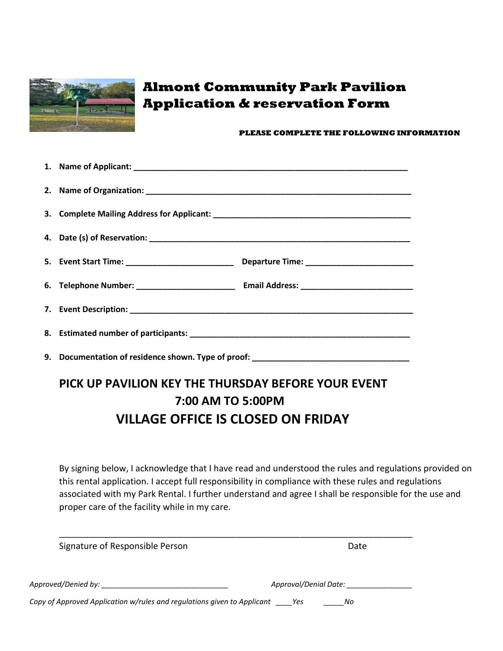

# **Almont Community Park Pavilion Application & reservation Form**

#### **PLEASE COMPLETE THE FOLLOWING INFORMATION**

| 9. Documentation of residence shown. Type of proof: ____________________________ |  |
|----------------------------------------------------------------------------------|--|

# **PICK UP PAVILION KEY THE THURSDAY BEFORE YOUR EVENT 7:00 AM TO 5:00PM VILLAGE OFFICE IS CLOSED ON FRIDAY**

By signing below, I acknowledge that I have read and understood the rules and regulations provided on this rental application. I accept full responsibility in compliance with these rules and regulations associated with my Park Rental. I further understand and agree I shall be responsible for the use and proper care of the facility while in my care.

| Signature of Responsible Person                                             | Date                  |
|-----------------------------------------------------------------------------|-----------------------|
| Approved/Denied by: _______________________                                 | Approval/Denial Date: |
| Copy of Approved Application w/rules and regulations given to Applicant Yes | - No                  |